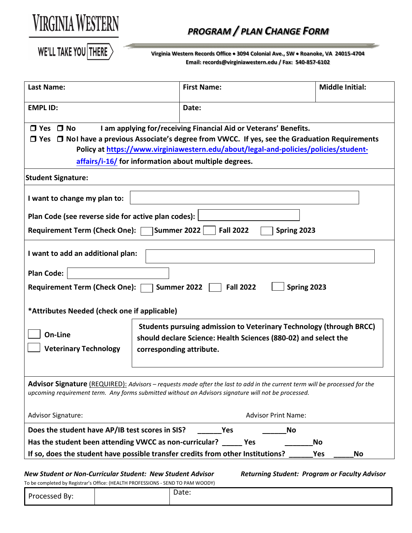

## 0B*PROGRAM / PLAN CHANGE FORM*

WE'LL TAKE YOU THERE

**Virginia Western Records Office** • **3094 Colonial Ave., SW** • **Roanoke, VA 24015-4704 Email: records@virginiawestern.edu / Fax: 540-857-6102**

| <b>Last Name:</b>                                                                                                                        |                                                                                                                                                                           | <b>First Name:</b>                                                                                                                                                                                                                                                                                                                | <b>Middle Initial:</b> |  |  |  |  |  |
|------------------------------------------------------------------------------------------------------------------------------------------|---------------------------------------------------------------------------------------------------------------------------------------------------------------------------|-----------------------------------------------------------------------------------------------------------------------------------------------------------------------------------------------------------------------------------------------------------------------------------------------------------------------------------|------------------------|--|--|--|--|--|
| <b>EMPL ID:</b>                                                                                                                          |                                                                                                                                                                           | Date:                                                                                                                                                                                                                                                                                                                             |                        |  |  |  |  |  |
| $\Box$ Yes $\Box$ No<br><b>Student Signature:</b><br>I want to change my plan to:<br>Plan Code (see reverse side for active plan codes): |                                                                                                                                                                           | I am applying for/receiving Financial Aid or Veterans' Benefits.<br>$\Box$ Yes $\Box$ No I have a previous Associate's degree from VWCC. If yes, see the Graduation Requirements<br>Policy at https://www.virginiawestern.edu/about/legal-and-policies/policies/student-<br>affairs/i-16/ for information about multiple degrees. |                        |  |  |  |  |  |
| Requirement Term (Check One): Summer 2022<br><b>Fall 2022</b><br>Spring 2023                                                             |                                                                                                                                                                           |                                                                                                                                                                                                                                                                                                                                   |                        |  |  |  |  |  |
| I want to add an additional plan:                                                                                                        |                                                                                                                                                                           |                                                                                                                                                                                                                                                                                                                                   |                        |  |  |  |  |  |
| <b>Plan Code:</b>                                                                                                                        |                                                                                                                                                                           |                                                                                                                                                                                                                                                                                                                                   |                        |  |  |  |  |  |
| Spring 2023<br><b>Requirement Term (Check One):</b><br>Summer 2022<br><b>Fall 2022</b>                                                   |                                                                                                                                                                           |                                                                                                                                                                                                                                                                                                                                   |                        |  |  |  |  |  |
| *Attributes Needed (check one if applicable)                                                                                             |                                                                                                                                                                           |                                                                                                                                                                                                                                                                                                                                   |                        |  |  |  |  |  |
| On-Line<br><b>Veterinary Technology</b>                                                                                                  | <b>Students pursuing admission to Veterinary Technology (through BRCC)</b><br>should declare Science: Health Sciences (880-02) and select the<br>corresponding attribute. |                                                                                                                                                                                                                                                                                                                                   |                        |  |  |  |  |  |
|                                                                                                                                          |                                                                                                                                                                           | Advisor Signature (REQUIRED): Advisors - requests made after the last to add in the current term will be processed for the<br>upcoming requirement term. Any forms submitted without an Advisors signature will not be processed.                                                                                                 |                        |  |  |  |  |  |
| <b>Advisor Signature:</b><br><b>Advisor Print Name:</b>                                                                                  |                                                                                                                                                                           |                                                                                                                                                                                                                                                                                                                                   |                        |  |  |  |  |  |
| Does the student have AP/IB test scores in SIS?                                                                                          |                                                                                                                                                                           | No<br><b>Yes</b>                                                                                                                                                                                                                                                                                                                  |                        |  |  |  |  |  |
| Has the student been attending VWCC as non-curricular? _____<br>Yes<br>No                                                                |                                                                                                                                                                           |                                                                                                                                                                                                                                                                                                                                   |                        |  |  |  |  |  |
| If so, does the student have possible transfer credits from other Institutions?                                                          |                                                                                                                                                                           |                                                                                                                                                                                                                                                                                                                                   | Yes<br>No              |  |  |  |  |  |
|                                                                                                                                          |                                                                                                                                                                           |                                                                                                                                                                                                                                                                                                                                   |                        |  |  |  |  |  |

To be completed by Registrar's Office: (HEALTH PROFESSIONS - SEND TO PAM WOODY)

*New Student or Non-Curricular Student: New Student Advisor Returning Student: Program or Faculty Advisor*

| <b>10 De completed by Registrar 3 Omice:</b> (HERETH HOF ESSIONS SEND TO FRIM MOODT) |  |       |  |  |  |  |  |  |
|--------------------------------------------------------------------------------------|--|-------|--|--|--|--|--|--|
| Processed By:                                                                        |  | Date: |  |  |  |  |  |  |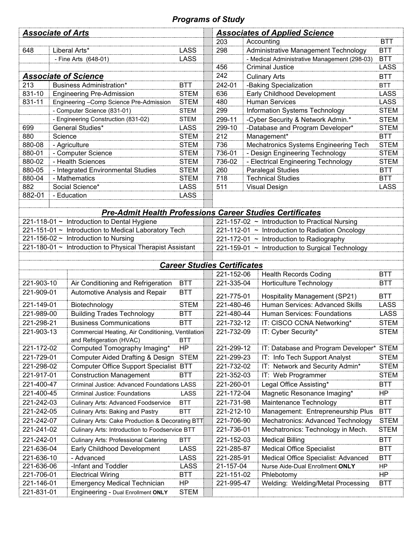## *Programs of Study*

| <b>Associate of Arts</b>                                                                  |                                     |                                                           |                                                                 | <b>Associates of Applied Science</b>                                                         |                                                |                                                                       |                           |  |
|-------------------------------------------------------------------------------------------|-------------------------------------|-----------------------------------------------------------|-----------------------------------------------------------------|----------------------------------------------------------------------------------------------|------------------------------------------------|-----------------------------------------------------------------------|---------------------------|--|
|                                                                                           |                                     |                                                           |                                                                 | Accounting<br>203                                                                            |                                                | <b>BTT</b>                                                            |                           |  |
| 648                                                                                       |                                     | Liberal Arts*                                             | <b>LASS</b>                                                     | 298                                                                                          |                                                | Administrative Management Technology                                  | <b>BTT</b>                |  |
|                                                                                           | - Fine Arts (648-01)                |                                                           | <b>LASS</b>                                                     |                                                                                              |                                                | - Medical Administrative Management (298-03)                          | <b>BTT</b><br><b>LASS</b> |  |
|                                                                                           |                                     |                                                           |                                                                 | 456                                                                                          |                                                | <b>Criminal Justice</b>                                               |                           |  |
|                                                                                           |                                     | <b>Associate of Science</b>                               |                                                                 | 242                                                                                          |                                                | <b>Culinary Arts</b>                                                  |                           |  |
| 213                                                                                       |                                     | <b>Business Administration*</b>                           | <b>BTT</b>                                                      | 242-01                                                                                       |                                                | -Baking Specialization                                                |                           |  |
| 831-10                                                                                    |                                     | <b>Engineering Pre-Admission</b>                          | <b>STEM</b>                                                     | 636                                                                                          |                                                | Early Childhood Development                                           |                           |  |
| 831-11                                                                                    |                                     | Engineering - Comp Science Pre-Admission                  | <b>STEM</b>                                                     | 480                                                                                          |                                                | <b>Human Services</b>                                                 |                           |  |
|                                                                                           |                                     | - Computer Science (831-01)                               | <b>STEM</b>                                                     | 299                                                                                          |                                                | Information Systems Technology                                        |                           |  |
| 699                                                                                       |                                     | - Engineering Construction (831-02)<br>General Studies*   | <b>STEM</b><br><b>LASS</b>                                      | 299-11<br>299-10                                                                             |                                                | -Cyber Security & Network Admin.*<br>-Database and Program Developer* |                           |  |
| 880                                                                                       | Science                             |                                                           | <b>STEM</b>                                                     | 212                                                                                          |                                                | Management*                                                           |                           |  |
| 880-08                                                                                    |                                     |                                                           | <b>STEM</b>                                                     | 736                                                                                          |                                                | Mechatronics Systems Engineering Tech                                 |                           |  |
| 880-01                                                                                    | - Agriculture<br>- Computer Science |                                                           | <b>STEM</b>                                                     | 736-01                                                                                       |                                                | - Design Engineering Technology                                       |                           |  |
| 880-02                                                                                    |                                     | - Health Sciences                                         | <b>STEM</b>                                                     | 736-02                                                                                       |                                                | - Electrical Engineering Technology                                   |                           |  |
| 880-05                                                                                    |                                     | - Integrated Environmental Studies                        | <b>STEM</b>                                                     | 260                                                                                          |                                                | <b>Paralegal Studies</b>                                              |                           |  |
| 880-04                                                                                    |                                     | - Mathematics                                             | <b>STEM</b>                                                     | 718                                                                                          |                                                | <b>Technical Studies</b>                                              | <b>BTT</b>                |  |
| 882                                                                                       |                                     | Social Science*                                           | <b>LASS</b>                                                     | 511                                                                                          |                                                | <b>Visual Design</b>                                                  | <b>LASS</b>               |  |
| 882-01                                                                                    |                                     | - Education                                               | <b>LASS</b>                                                     |                                                                                              |                                                |                                                                       |                           |  |
|                                                                                           |                                     |                                                           |                                                                 |                                                                                              |                                                |                                                                       |                           |  |
|                                                                                           |                                     |                                                           | <b>Pre-Admit Health Professions Career Studies Certificates</b> |                                                                                              |                                                |                                                                       |                           |  |
|                                                                                           |                                     | 221-118-01 ~ Introduction to Dental Hygiene               |                                                                 |                                                                                              | 221-157-02 ~ Introduction to Practical Nursing |                                                                       |                           |  |
|                                                                                           |                                     | 221-151-01 ~ Introduction to Medical Laboratory Tech      |                                                                 | 221-112-01 ~ Introduction to Radiation Oncology                                              |                                                |                                                                       |                           |  |
|                                                                                           |                                     | 221-156-02 $\sim$ Introduction to Nursing                 |                                                                 | 221-172-01 ~ Introduction to Radiography<br>221-159-01 ~ Introduction to Surgical Technology |                                                |                                                                       |                           |  |
|                                                                                           |                                     | 221-180-01 ~ Introduction to Physical Therapist Assistant |                                                                 |                                                                                              |                                                |                                                                       |                           |  |
|                                                                                           |                                     |                                                           | <b>Career Studies Certificates</b>                              |                                                                                              |                                                |                                                                       |                           |  |
|                                                                                           |                                     |                                                           |                                                                 | 221-152-06                                                                                   |                                                | <b>Health Records Coding</b>                                          | <b>BTT</b>                |  |
| 221-903-10                                                                                |                                     | Air Conditioning and Refrigeration                        | <b>BTT</b>                                                      | 221-335-04                                                                                   |                                                | <b>Horticulture Technology</b>                                        | BTT                       |  |
| 221-909-01                                                                                |                                     | Automotive Analysis and Repair                            | <b>BTT</b>                                                      |                                                                                              |                                                |                                                                       |                           |  |
|                                                                                           |                                     |                                                           | 221-775-01                                                      |                                                                                              | <b>Hospitality Management (SP21)</b>           | <b>BTT</b>                                                            |                           |  |
| 221-149-01                                                                                |                                     | Biotechnology                                             | <b>STEM</b>                                                     | 221-480-46                                                                                   |                                                | Human Services: Advanced Skills                                       | <b>LASS</b>               |  |
| <b>Building Trades Technology</b><br>221-989-00                                           |                                     | <b>BTT</b>                                                | 221-480-44                                                      |                                                                                              | <b>Human Services: Foundations</b>             | <b>LASS</b>                                                           |                           |  |
| 221-298-21                                                                                |                                     | <b>Business Communications</b>                            | <b>BTT</b>                                                      | 221-732-12                                                                                   |                                                | IT: CISCO CCNA Networking*                                            | <b>STEM</b>               |  |
| 221-903-13<br>Commercial Heating, Air Conditioning, Ventilation                           |                                     | <b>BTT</b>                                                | 221-732-09                                                      |                                                                                              | IT: Cyber Security*                            | <b>STEM</b>                                                           |                           |  |
| and Refrigeration (HVAC)<br>221-172-02                                                    |                                     | <b>HP</b>                                                 | 221-299-12                                                      |                                                                                              | IT: Database and Program Developer* STEM       |                                                                       |                           |  |
| Computed Tomography Imaging*<br><b>Computer Aided Drafting &amp; Design</b><br>221-729-01 |                                     | <b>STEM</b>                                               | 221-299-23                                                      |                                                                                              | IT: Info Tech Support Analyst                  | <b>STEM</b>                                                           |                           |  |
| <b>Computer Office Support Specialist BTT</b><br>221-298-02                               |                                     |                                                           | 221-732-02                                                      |                                                                                              | IT: Network and Security Admin*                | <b>STEM</b>                                                           |                           |  |
| <b>Construction Management</b><br>221-917-01                                              |                                     | <b>BTT</b>                                                | 221-352-03                                                      |                                                                                              | IT: Web Programmer                             | <b>STEM</b>                                                           |                           |  |
| 221-400-47<br><b>Criminal Justice: Advanced Foundations LASS</b>                          |                                     |                                                           | 221-260-01                                                      |                                                                                              | Legal Office Assisting*                        | <b>BTT</b>                                                            |                           |  |
| 221-400-45                                                                                |                                     | <b>Criminal Justice: Foundations</b>                      | LASS                                                            | 221-172-04                                                                                   |                                                | Magnetic Resonance Imaging*                                           | <b>HP</b>                 |  |
| 221-242-03<br><b>Culinary Arts: Advanced Foodservice</b>                                  |                                     | <b>BTT</b>                                                | 221-731-98                                                      |                                                                                              | Maintenance Technology                         | <b>BTT</b>                                                            |                           |  |
| 221-242-05<br><b>Culinary Arts: Baking and Pastry</b>                                     |                                     | <b>BTT</b>                                                | 221-212-10                                                      |                                                                                              | Management: Entrepreneurship Plus              | <b>BTT</b>                                                            |                           |  |
| Culinary Arts: Cake Production & Decorating BTT<br>221-242-07                             |                                     |                                                           | 221-706-90                                                      |                                                                                              | Mechatronics: Advanced Technology              | <b>STEM</b>                                                           |                           |  |
| 221-241-02<br>Culinary Arts: Introduction to Foodservice BTT                              |                                     |                                                           | 221-736-01                                                      |                                                                                              | Mechatronics: Technology in Mech.              | <b>STEM</b>                                                           |                           |  |
| 221-242-01<br><b>Culinary Arts: Professional Catering</b>                                 |                                     | <b>BTT</b>                                                |                                                                 |                                                                                              | <b>Medical Billing</b>                         | <b>BTT</b>                                                            |                           |  |
| Early Childhood Development<br>221-636-04                                                 |                                     | LASS                                                      | 221-152-03                                                      |                                                                                              | <b>Medical Office Specialist</b>               | <b>BTT</b>                                                            |                           |  |
| - Advanced<br>221-636-10                                                                  |                                     | LASS                                                      | 221-285-87<br>221-285-91                                        |                                                                                              | Medical Office Specialist: Advanced            | <b>BTT</b>                                                            |                           |  |
| 221-636-06<br>-Infant and Toddler                                                         |                                     | LASS                                                      | 21-157-04                                                       |                                                                                              | Nurse Aide-Dual Enrollment ONLY                | HP                                                                    |                           |  |
| 221-706-01<br><b>Electrical Wiring</b>                                                    |                                     | <b>BTT</b>                                                | 221-151-02                                                      |                                                                                              | Phlebotomy                                     | <b>HP</b>                                                             |                           |  |
|                                                                                           |                                     |                                                           |                                                                 |                                                                                              |                                                |                                                                       |                           |  |
| 221-146-01                                                                                |                                     | <b>Emergency Medical Technician</b>                       | HP                                                              | 221-995-47                                                                                   |                                                | Welding: Welding/Metal Processing                                     | <b>BTT</b>                |  |